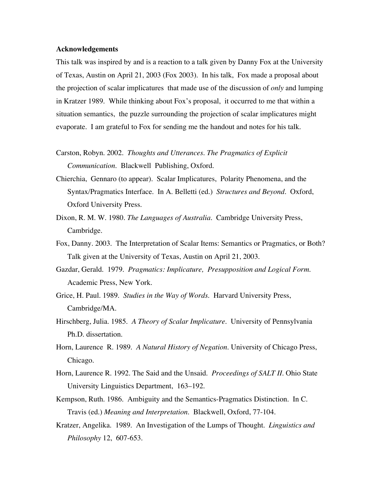## **Acknowledgements**

This talk was inspired by and is a reaction to a talk given by Danny Fox at the University of Texas, Austin on April 21, 2003 (Fox 2003). In his talk, Fox made a proposal about the projection of scalar implicatures that made use of the discussion of *only* and lumping in Kratzer 1989. While thinking about Fox's proposal, it occurred to me that within a situation semantics, the puzzle surrounding the projection of scalar implicatures might evaporate. I am grateful to Fox for sending me the handout and notes for his talk.

- Carston, Robyn. 2002. *Thoughts and Utterances. The Pragmatics of Explicit Communication*. Blackwell Publishing, Oxford.
- Chierchia, Gennaro (to appear). Scalar Implicatures, Polarity Phenomena, and the Syntax/Pragmatics Interface. In A. Belletti (ed.) *Structures and Beyond*. Oxford, Oxford University Press.
- Dixon, R. M. W. 1980. *The Languages of Australia*. Cambridge University Press, Cambridge.
- Fox, Danny. 2003. The Interpretation of Scalar Items: Semantics or Pragmatics, or Both? Talk given at the University of Texas, Austin on April 21, 2003.
- Gazdar, Gerald. 1979. *Pragmatics: Implicature, Presupposition and Logical Form*. Academic Press, New York.
- Grice, H. Paul. 1989. *Studies in the Way of Words*. Harvard University Press, Cambridge/MA.
- Hirschberg, Julia. 1985. *A Theory of Scalar Implicature*. University of Pennsylvania Ph.D. dissertation.
- Horn, Laurence R. 1989. *A Natural History of Negation*. University of Chicago Press, Chicago.
- Horn, Laurence R. 1992. The Said and the Unsaid. *Proceedings of SALT II*. Ohio State University Linguistics Department, 163–192.
- Kempson, Ruth. 1986. Ambiguity and the Semantics-Pragmatics Distinction. In C. Travis (ed.) *Meaning and Interpretation*. Blackwell, Oxford, 77-104.
- Kratzer, Angelika. 1989. An Investigation of the Lumps of Thought. *Linguistics and Philosophy* 12, 607-653.